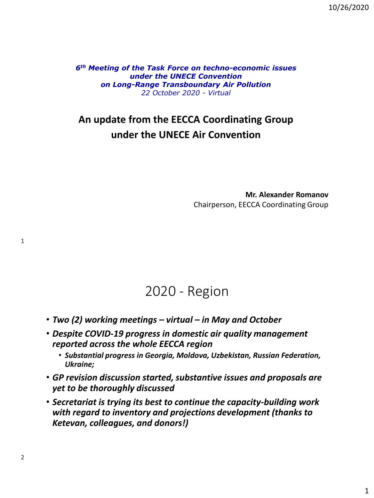10/26/2020

*6th Meeting of the Task Force on techno-economic issues under the UNECE Convention on Long-Range Transboundary Air Pollution 22 October 2020 - Virtual* 

#### **An update from the EECCA Coordinating Group under the UNECE Air Convention**

**Mr. Alexander Romanov** Chairperson, EECCA Coordinating Group

### 2020 - Region

- *Two (2) working meetings – virtual – in May and October*
- *Despite COVID-19 progress in domestic air quality management reported across the whole EECCA region* 
	- *Substantial progress in Georgia, Moldova, Uzbekistan, Russian Federation, Ukraine;*
- *GP revision discussion started, substantive issues and proposals are yet to be thoroughly discussed*
- *Secretariat is trying its best to continue the capacity-building work with regard to inventory and projections development (thanks to Ketevan, colleagues, and donors!)*

1